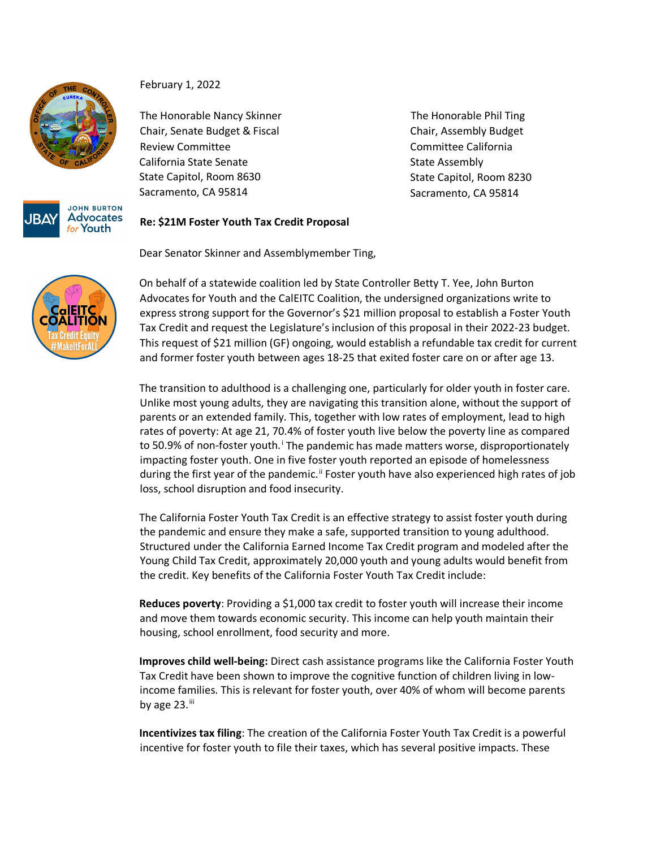



February 1, 2022

The Honorable Nancy Skinner Chair, Senate Budget & Fiscal Review Committee California State Senate State Capitol, Room 8630 Sacramento, CA 95814

The Honorable Phil Ting Chair, Assembly Budget Committee California State Assembly State Capitol, Room 8230 Sacramento, CA 95814

## **Re: \$21M Foster Youth Tax Credit Proposal**

Dear Senator Skinner and Assemblymember Ting,

On behalf of a statewide coalition led by State Controller Betty T. Yee, John Burton Advocates for Youth and the CalEITC Coalition, the undersigned organizations write to express strong support for the Governor's \$21 million proposal to establish a Foster Youth Tax Credit and request the Legislature's inclusion of this proposal in their 2022-23 budget. This request of \$21 million (GF) ongoing, would establish a refundable tax credit for current and former foster youth between ages 18-25 that exited foster care on or after age 13.

The transition to adulthood is a challenging one, particularly for older youth in foster care. Unlike most young adults, they are navigating this transition alone, without the support of parents or an extended family. This, together with low rates of employment, lead to high rates of poverty: At age 21, 70.4% of foster youth live below the poverty line as compared to 50.9% of non-foster youth.<sup>[i](#page-1-0)</sup> The pandemic has made matters worse, disproportionately impacting foster youth. One in five foster youth reported an episode of homelessness during the first year of the pandemic.<sup>[ii](#page-1-1)</sup> Foster youth have also experienced high rates of job loss, school disruption and food insecurity.

The California Foster Youth Tax Credit is an effective strategy to assist foster youth during the pandemic and ensure they make a safe, supported transition to young adulthood. Structured under the California Earned Income Tax Credit program and modeled after the Young Child Tax Credit, approximately 20,000 youth and young adults would benefit from the credit. Key benefits of the California Foster Youth Tax Credit include:

**Reduces poverty**: Providing a \$1,000 tax credit to foster youth will increase their income and move them towards economic security. This income can help youth maintain their housing, school enrollment, food security and more.

**Improves child well-being:** Direct cash assistance programs like the California Foster Youth Tax Credit have been shown to improve the cognitive function of children living in lowincome families. This is relevant for foster youth, over 40% of whom will become parents by age  $23$ .

**Incentivizes tax filing**: The creation of the California Foster Youth Tax Credit is a powerful incentive for foster youth to file their taxes, which has several positive impacts. These